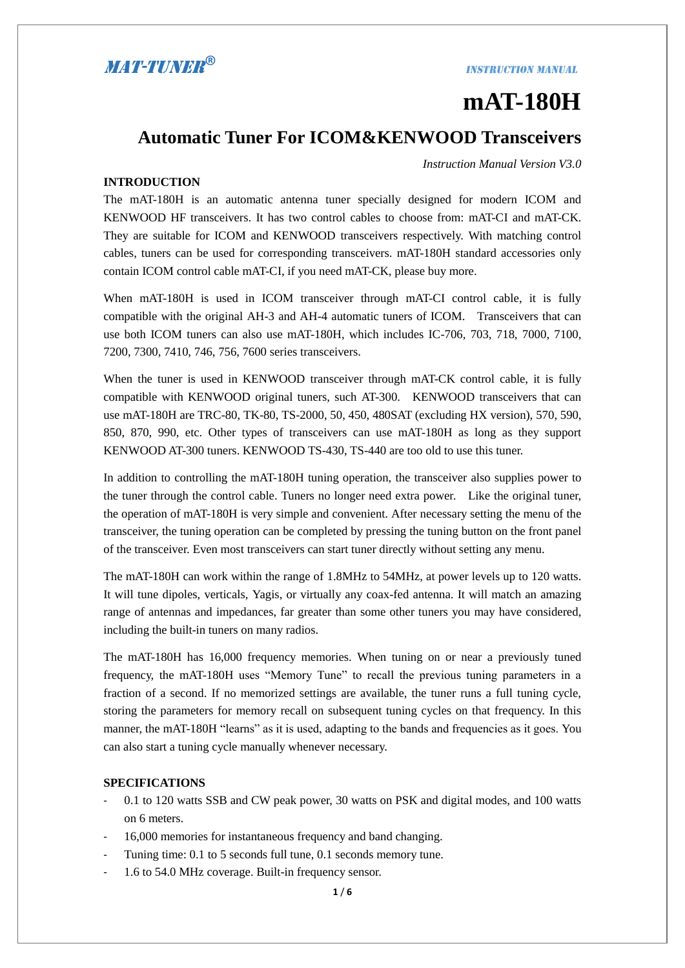### **INSTRUCTION MANUAL**

# **mAT-180H**

### **Automatic Tuner For ICOM&KENWOOD Transceivers**

*Instruction Manual Version V3.0* 

### **INTRODUCTION**

The mAT-180H is an automatic antenna tuner specially designed for modern ICOM and KENWOOD HF transceivers. It has two control cables to choose from: mAT-CI and mAT-CK. They are suitable for ICOM and KENWOOD transceivers respectively. With matching control cables, tuners can be used for corresponding transceivers. mAT-180H standard accessories only contain ICOM control cable mAT-CI, if you need mAT-CK, please buy more.

When mAT-180H is used in ICOM transceiver through mAT-CI control cable, it is fully compatible with the original AH-3 and AH-4 automatic tuners of ICOM. Transceivers that can use both ICOM tuners can also use mAT-180H, which includes IC-706, 703, 718, 7000, 7100, 7200, 7300, 7410, 746, 756, 7600 series transceivers.

When the tuner is used in KENWOOD transceiver through mAT-CK control cable, it is fully compatible with KENWOOD original tuners, such AT-300. KENWOOD transceivers that can use mAT-180H are TRC-80, TK-80, TS-2000, 50, 450, 480SAT (excluding HX version), 570, 590, 850, 870, 990, etc. Other types of transceivers can use mAT-180H as long as they support KENWOOD AT-300 tuners. KENWOOD TS-430, TS-440 are too old to use this tuner.

In addition to controlling the mAT-180H tuning operation, the transceiver also supplies power to the tuner through the control cable. Tuners no longer need extra power. Like the original tuner, the operation of mAT-180H is very simple and convenient. After necessary setting the menu of the transceiver, the tuning operation can be completed by pressing the tuning button on the front panel of the transceiver. Even most transceivers can start tuner directly without setting any menu.

The mAT-180H can work within the range of 1.8MHz to 54MHz, at power levels up to 120 watts. It will tune dipoles, verticals, Yagis, or virtually any coax-fed antenna. It will match an amazing range of antennas and impedances, far greater than some other tuners you may have considered, including the built-in tuners on many radios.

The mAT-180H has 16,000 frequency memories. When tuning on or near a previously tuned frequency, the mAT-180H uses "Memory Tune" to recall the previous tuning parameters in a fraction of a second. If no memorized settings are available, the tuner runs a full tuning cycle, storing the parameters for memory recall on subsequent tuning cycles on that frequency. In this manner, the mAT-180H "learns" as it is used, adapting to the bands and frequencies as it goes. You can also start a tuning cycle manually whenever necessary.

### **SPECIFICATIONS**

- 0.1 to 120 watts SSB and CW peak power, 30 watts on PSK and digital modes, and 100 watts on 6 meters.
- 16,000 memories for instantaneous frequency and band changing.
- Tuning time: 0.1 to 5 seconds full tune, 0.1 seconds memory tune.
- 1.6 to 54.0 MHz coverage. Built-in frequency sensor.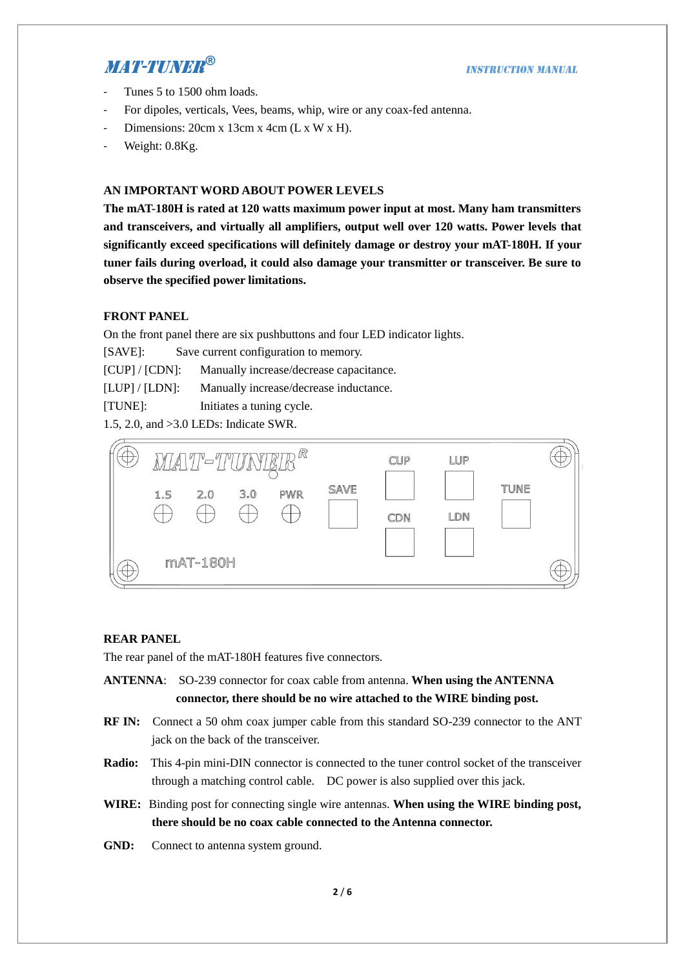- Tunes 5 to 1500 ohm loads.
- For dipoles, verticals, Vees, beams, whip, wire or any coax-fed antenna.
- Dimensions: 20cm x 13cm x 4cm (L x W x H).
- Weight: 0.8Kg.

### **AN IMPORTANT WORD ABOUT POWER LEVELS**

**The mAT-180H is rated at 120 watts maximum power input at most. Many ham transmitters and transceivers, and virtually all amplifiers, output well over 120 watts. Power levels that significantly exceed specifications will definitely damage or destroy your mAT-180H. If your tuner fails during overload, it could also damage your transmitter or transceiver. Be sure to observe the specified power limitations.**

### **FRONT PANEL**

On the front panel there are six pushbuttons and four LED indicator lights.

[SAVE]: Save current configuration to memory.

[CUP] / [CDN]: Manually increase/decrease capacitance.

[LUP] / [LDN]: Manually increase/decrease inductance.

[TUNE]: Initiates a tuning cycle.

1.5, 2.0, and >3.0 LEDs: Indicate SWR.



### **REAR PANEL**

The rear panel of the mAT-180H features five connectors.

- **ANTENNA**: SO-239 connector for coax cable from antenna. **When using the ANTENNA connector, there should be no wire attached to the WIRE binding post.**
- **RF IN:** Connect a 50 ohm coax jumper cable from this standard SO-239 connector to the ANT jack on the back of the transceiver.
- **Radio:** This 4-pin mini-DIN connector is connected to the tuner control socket of the transceiver through a matching control cable. DC power is also supplied over this jack.
- **WIRE:** Binding post for connecting single wire antennas. **When using the WIRE binding post, there should be no coax cable connected to the Antenna connector.**
- **GND:** Connect to antenna system ground.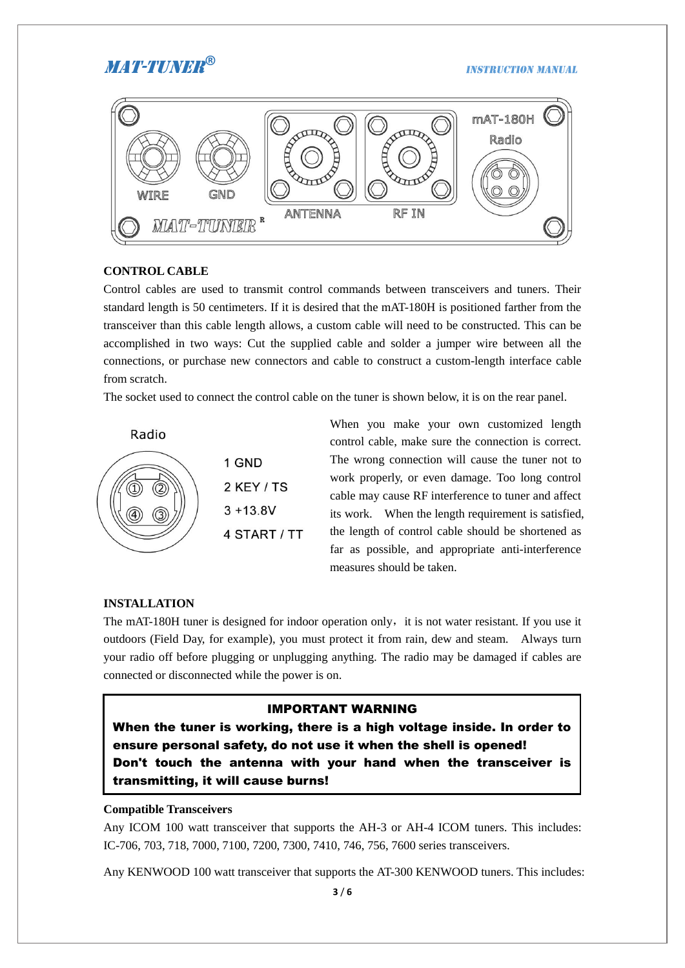#### **INSTRUCTION MANUAL**



### **CONTROL CABLE**

Control cables are used to transmit control commands between transceivers and tuners. Their standard length is 50 centimeters. If it is desired that the mAT-180H is positioned farther from the transceiver than this cable length allows, a custom cable will need to be constructed. This can be accomplished in two ways: Cut the supplied cable and solder a jumper wire between all the connections, or purchase new connectors and cable to construct a custom-length interface cable from scratch.

The socket used to connect the control cable on the tuner is shown below, it is on the rear panel.



When you make your own customized length control cable, make sure the connection is correct. The wrong connection will cause the tuner not to work properly, or even damage. Too long control cable may cause RF interference to tuner and affect its work. When the length requirement is satisfied, the length of control cable should be shortened as far as possible, and appropriate anti-interference measures should be taken.

#### **INSTALLATION**

The mAT-180H tuner is designed for indoor operation only, it is not water resistant. If you use it outdoors (Field Day, for example), you must protect it from rain, dew and steam. Always turn your radio off before plugging or unplugging anything. The radio may be damaged if cables are connected or disconnected while the power is on.

### IMPORTANT WARNING

When the tuner is working, there is a high voltage inside. In order to ensure personal safety, do not use it when the shell is opened! Don't touch the antenna with your hand when the transceiver is transmitting, it will cause burns!

### **Compatible Transceivers**

Any ICOM 100 watt transceiver that supports the AH-3 or AH-4 ICOM tuners. This includes: IC-706, 703, 718, 7000, 7100, 7200, 7300, 7410, 746, 756, 7600 series transceivers.

Any KENWOOD 100 watt transceiver that supports the AT-300 KENWOOD tuners. This includes: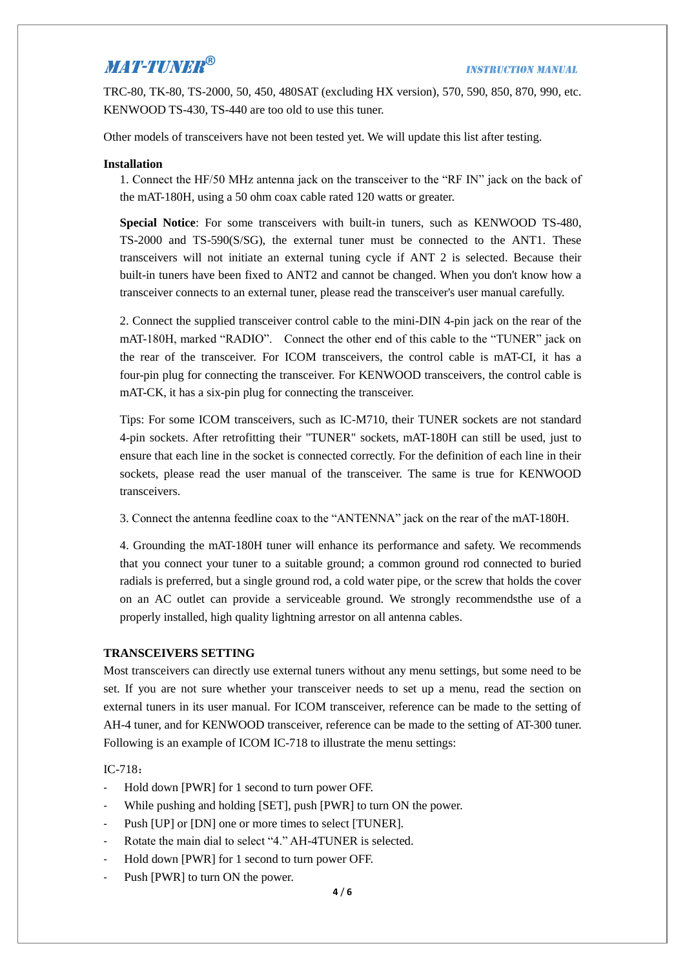TRC-80, TK-80, TS-2000, 50, 450, 480SAT (excluding HX version), 570, 590, 850, 870, 990, etc. KENWOOD TS-430, TS-440 are too old to use this tuner.

Other models of transceivers have not been tested yet. We will update this list after testing.

### **Installation**

1. Connect the HF/50 MHz antenna jack on the transceiver to the "RF IN" jack on the back of the mAT-180H, using a 50 ohm coax cable rated 120 watts or greater.

**Special Notice**: For some transceivers with built-in tuners, such as KENWOOD TS-480, TS-2000 and TS-590(S/SG), the external tuner must be connected to the ANT1. These transceivers will not initiate an external tuning cycle if ANT 2 is selected. Because their built-in tuners have been fixed to ANT2 and cannot be changed. When you don't know how a transceiver connects to an external tuner, please read the transceiver's user manual carefully.

2. Connect the supplied transceiver control cable to the mini-DIN 4-pin jack on the rear of the mAT-180H, marked "RADIO". Connect the other end of this cable to the "TUNER" jack on the rear of the transceiver. For ICOM transceivers, the control cable is mAT-CI, it has a four-pin plug for connecting the transceiver. For KENWOOD transceivers, the control cable is mAT-CK, it has a six-pin plug for connecting the transceiver.

Tips: For some ICOM transceivers, such as IC-M710, their TUNER sockets are not standard 4-pin sockets. After retrofitting their "TUNER" sockets, mAT-180H can still be used, just to ensure that each line in the socket is connected correctly. For the definition of each line in their sockets, please read the user manual of the transceiver. The same is true for KENWOOD transceivers.

3. Connect the antenna feedline coax to the "ANTENNA" jack on the rear of the mAT-180H.

4. Grounding the mAT-180H tuner will enhance its performance and safety. We recommends that you connect your tuner to a suitable ground; a common ground rod connected to buried radials is preferred, but a single ground rod, a cold water pipe, or the screw that holds the cover on an AC outlet can provide a serviceable ground. We strongly recommendsthe use of a properly installed, high quality lightning arrestor on all antenna cables.

### **TRANSCEIVERS SETTING**

Most transceivers can directly use external tuners without any menu settings, but some need to be set. If you are not sure whether your transceiver needs to set up a menu, read the section on external tuners in its user manual. For ICOM transceiver, reference can be made to the setting of AH-4 tuner, and for KENWOOD transceiver, reference can be made to the setting of AT-300 tuner. Following is an example of ICOM IC-718 to illustrate the menu settings:

### IC-718:

- Hold down [PWR] for 1 second to turn power OFF.
- While pushing and holding [SET], push [PWR] to turn ON the power.
- Push [UP] or [DN] one or more times to select [TUNER].
- Rotate the main dial to select "4." AH-4TUNER is selected.
- Hold down [PWR] for 1 second to turn power OFF.
- Push [PWR] to turn ON the power.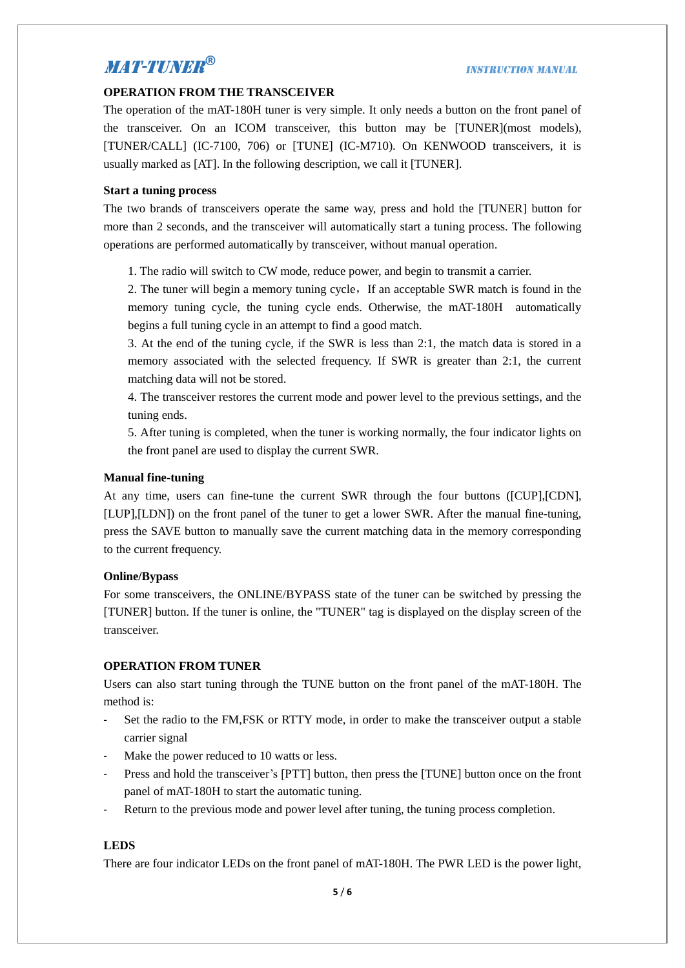### **OPERATION FROM THE TRANSCEIVER**

The operation of the mAT-180H tuner is very simple. It only needs a button on the front panel of the transceiver. On an ICOM transceiver, this button may be [TUNER](most models), [TUNER/CALL] (IC-7100, 706) or [TUNE] (IC-M710). On KENWOOD transceivers, it is usually marked as [AT]. In the following description, we call it [TUNER].

### **Start a tuning process**

The two brands of transceivers operate the same way, press and hold the [TUNER] button for more than 2 seconds, and the transceiver will automatically start a tuning process. The following operations are performed automatically by transceiver, without manual operation.

1. The radio will switch to CW mode, reduce power, and begin to transmit a carrier.

2. The tuner will begin a memory tuning cycle, If an acceptable SWR match is found in the memory tuning cycle, the tuning cycle ends. Otherwise, the mAT-180H automatically begins a full tuning cycle in an attempt to find a good match.

3. At the end of the tuning cycle, if the SWR is less than 2:1, the match data is stored in a memory associated with the selected frequency. If SWR is greater than 2:1, the current matching data will not be stored.

4. The transceiver restores the current mode and power level to the previous settings, and the tuning ends.

5. After tuning is completed, when the tuner is working normally, the four indicator lights on the front panel are used to display the current SWR.

### **Manual fine-tuning**

At any time, users can fine-tune the current SWR through the four buttons ([CUP],[CDN], [LUP],[LDN]) on the front panel of the tuner to get a lower SWR. After the manual fine-tuning, press the SAVE button to manually save the current matching data in the memory corresponding to the current frequency.

#### **Online/Bypass**

For some transceivers, the ONLINE/BYPASS state of the tuner can be switched by pressing the [TUNER] button. If the tuner is online, the "TUNER" tag is displayed on the display screen of the transceiver.

#### **OPERATION FROM TUNER**

Users can also start tuning through the TUNE button on the front panel of the mAT-180H. The method is:

- Set the radio to the FM,FSK or RTTY mode, in order to make the transceiver output a stable carrier signal
- Make the power reduced to 10 watts or less.
- Press and hold the transceiver's [PTT] button, then press the [TUNE] button once on the front panel of mAT-180H to start the automatic tuning.
- Return to the previous mode and power level after tuning, the tuning process completion.

### **LEDS**

There are four indicator LEDs on the front panel of mAT-180H. The PWR LED is the power light,